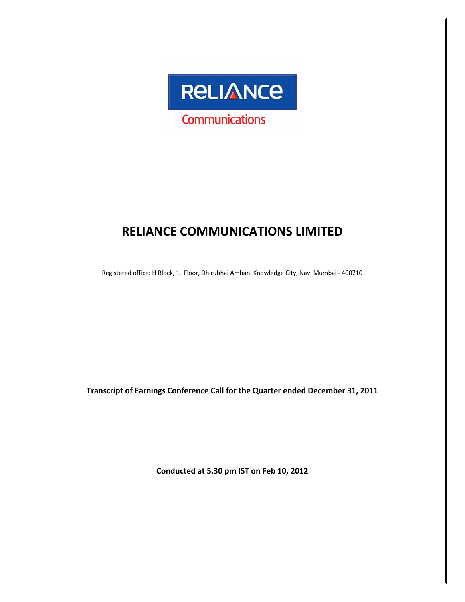

# RELIANCE COMMUNICATIONS LIMITED

Registered office: H Block, 1st Floor, Dhirubhai Ambani Knowledge City, Navi Mumbai - 400710

Transcript of Earnings Conference Call for the Quarter ended December 31, 2011

Conducted at 5.30 pm IST on Feb 10, 2012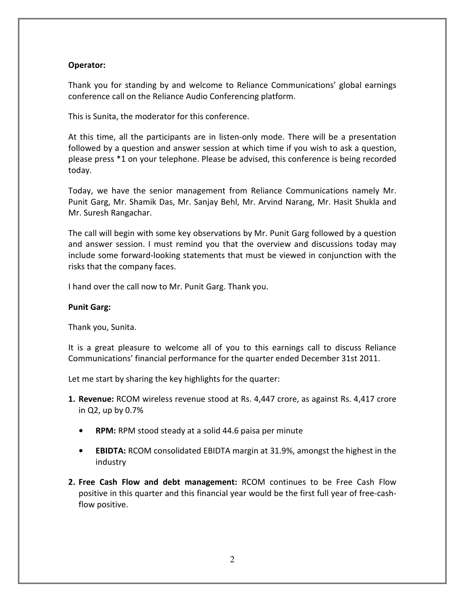# Operator:

Thank you for standing by and welcome to Reliance Communications' global earnings conference call on the Reliance Audio Conferencing platform.

This is Sunita, the moderator for this conference.

At this time, all the participants are in listen-only mode. There will be a presentation followed by a question and answer session at which time if you wish to ask a question, please press \*1 on your telephone. Please be advised, this conference is being recorded today.

Today, we have the senior management from Reliance Communications namely Mr. Punit Garg, Mr. Shamik Das, Mr. Sanjay Behl, Mr. Arvind Narang, Mr. Hasit Shukla and Mr. Suresh Rangachar.

The call will begin with some key observations by Mr. Punit Garg followed by a question and answer session. I must remind you that the overview and discussions today may include some forward-looking statements that must be viewed in conjunction with the risks that the company faces.

I hand over the call now to Mr. Punit Garg. Thank you.

# Punit Garg:

Thank you, Sunita.

It is a great pleasure to welcome all of you to this earnings call to discuss Reliance Communications' financial performance for the quarter ended December 31st 2011.

Let me start by sharing the key highlights for the quarter:

- 1. Revenue: RCOM wireless revenue stood at Rs. 4,447 crore, as against Rs. 4,417 crore in Q2, up by 0.7%
	- RPM: RPM stood steady at a solid 44.6 paisa per minute
	- EBIDTA: RCOM consolidated EBIDTA margin at 31.9%, amongst the highest in the industry
- 2. Free Cash Flow and debt management: RCOM continues to be Free Cash Flow positive in this quarter and this financial year would be the first full year of free-cashflow positive.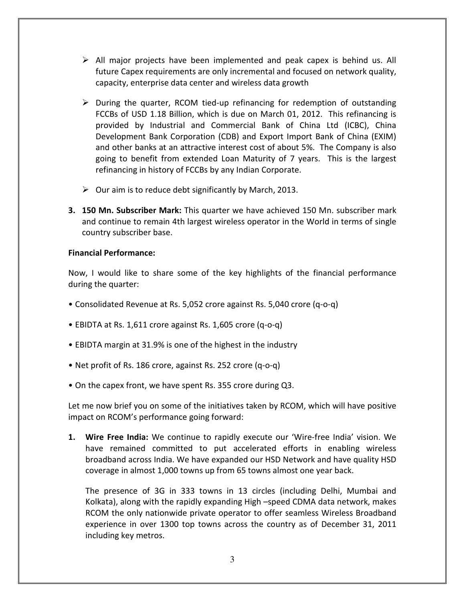- $\triangleright$  All major projects have been implemented and peak capex is behind us. All future Capex requirements are only incremental and focused on network quality, capacity, enterprise data center and wireless data growth
- $\triangleright$  During the quarter, RCOM tied-up refinancing for redemption of outstanding FCCBs of USD 1.18 Billion, which is due on March 01, 2012. This refinancing is provided by Industrial and Commercial Bank of China Ltd (ICBC), China Development Bank Corporation (CDB) and Export Import Bank of China (EXIM) and other banks at an attractive interest cost of about 5%. The Company is also going to benefit from extended Loan Maturity of 7 years. This is the largest refinancing in history of FCCBs by any Indian Corporate.
- $\triangleright$  Our aim is to reduce debt significantly by March, 2013.
- **3. 150 Mn. Subscriber Mark:** This quarter we have achieved 150 Mn. subscriber mark and continue to remain 4th largest wireless operator in the World in terms of single country subscriber base.

# Financial Performance:

Now, I would like to share some of the key highlights of the financial performance during the quarter:

- Consolidated Revenue at Rs. 5,052 crore against Rs. 5,040 crore (q-o-q)
- EBIDTA at Rs. 1,611 crore against Rs. 1,605 crore (q-o-q)
- EBIDTA margin at 31.9% is one of the highest in the industry
- Net profit of Rs. 186 crore, against Rs. 252 crore (q-o-q)
- On the capex front, we have spent Rs. 355 crore during Q3.

Let me now brief you on some of the initiatives taken by RCOM, which will have positive impact on RCOM's performance going forward:

1. Wire Free India: We continue to rapidly execute our 'Wire-free India' vision. We have remained committed to put accelerated efforts in enabling wireless broadband across India. We have expanded our HSD Network and have quality HSD coverage in almost 1,000 towns up from 65 towns almost one year back.

The presence of 3G in 333 towns in 13 circles (including Delhi, Mumbai and Kolkata), along with the rapidly expanding High –speed CDMA data network, makes RCOM the only nationwide private operator to offer seamless Wireless Broadband experience in over 1300 top towns across the country as of December 31, 2011 including key metros.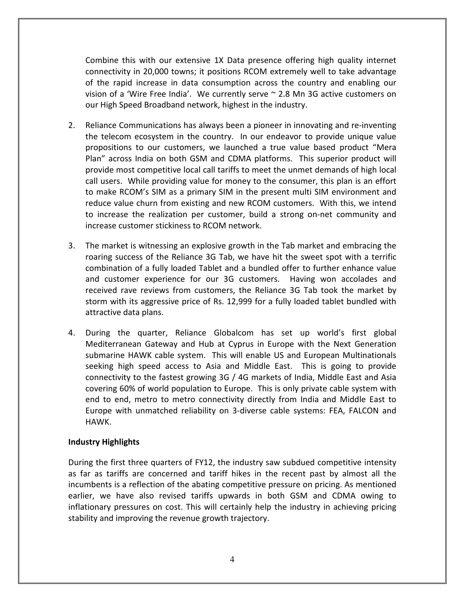Combine this with our extensive 1X Data presence offering high quality internet connectivity in 20,000 towns; it positions RCOM extremely well to take advantage of the rapid increase in data consumption across the country and enabling our vision of a 'Wire Free India'. We currently serve ~ 2.8 Mn 3G active customers on our High Speed Broadband network, highest in the industry.

- 2. Reliance Communications has always been a pioneer in innovating and re-inventing the telecom ecosystem in the country. In our endeavor to provide unique value propositions to our customers, we launched a true value based product "Mera Plan" across India on both GSM and CDMA platforms. This superior product will provide most competitive local call tariffs to meet the unmet demands of high local call users. While providing value for money to the consumer, this plan is an effort to make RCOM's SIM as a primary SIM in the present multi SIM environment and reduce value churn from existing and new RCOM customers. With this, we intend to increase the realization per customer, build a strong on-net community and increase customer stickiness to RCOM network.
- 3. The market is witnessing an explosive growth in the Tab market and embracing the roaring success of the Reliance 3G Tab, we have hit the sweet spot with a terrific combination of a fully loaded Tablet and a bundled offer to further enhance value and customer experience for our 3G customers. Having won accolades and received rave reviews from customers, the Reliance 3G Tab took the market by storm with its aggressive price of Rs. 12,999 for a fully loaded tablet bundled with attractive data plans.
- 4. During the quarter, Reliance Globalcom has set up world's first global Mediterranean Gateway and Hub at Cyprus in Europe with the Next Generation submarine HAWK cable system. This will enable US and European Multinationals seeking high speed access to Asia and Middle East. This is going to provide connectivity to the fastest growing 3G / 4G markets of India, Middle East and Asia covering 60% of world population to Europe. This is only private cable system with end to end, metro to metro connectivity directly from India and Middle East to Europe with unmatched reliability on 3-diverse cable systems: FEA, FALCON and HAWK.

# Industry Highlights

During the first three quarters of FY12, the industry saw subdued competitive intensity as far as tariffs are concerned and tariff hikes in the recent past by almost all the incumbents is a reflection of the abating competitive pressure on pricing. As mentioned earlier, we have also revised tariffs upwards in both GSM and CDMA owing to inflationary pressures on cost. This will certainly help the industry in achieving pricing stability and improving the revenue growth trajectory.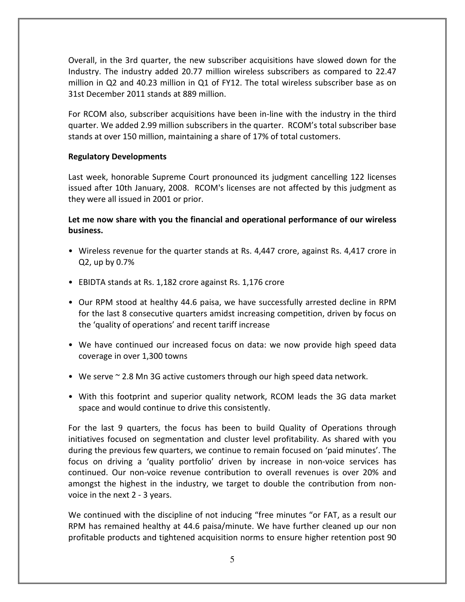Overall, in the 3rd quarter, the new subscriber acquisitions have slowed down for the Industry. The industry added 20.77 million wireless subscribers as compared to 22.47 million in Q2 and 40.23 million in Q1 of FY12. The total wireless subscriber base as on 31st December 2011 stands at 889 million.

For RCOM also, subscriber acquisitions have been in-line with the industry in the third quarter. We added 2.99 million subscribers in the quarter. RCOM's total subscriber base stands at over 150 million, maintaining a share of 17% of total customers.

# Regulatory Developments

Last week, honorable Supreme Court pronounced its judgment cancelling 122 licenses issued after 10th January, 2008. RCOM's licenses are not affected by this judgment as they were all issued in 2001 or prior.

# Let me now share with you the financial and operational performance of our wireless business.

- Wireless revenue for the quarter stands at Rs. 4,447 crore, against Rs. 4,417 crore in Q2, up by 0.7%
- EBIDTA stands at Rs. 1,182 crore against Rs. 1,176 crore
- Our RPM stood at healthy 44.6 paisa, we have successfully arrested decline in RPM for the last 8 consecutive quarters amidst increasing competition, driven by focus on the 'quality of operations' and recent tariff increase
- We have continued our increased focus on data: we now provide high speed data coverage in over 1,300 towns
- We serve ~ 2.8 Mn 3G active customers through our high speed data network.
- With this footprint and superior quality network, RCOM leads the 3G data market space and would continue to drive this consistently.

For the last 9 quarters, the focus has been to build Quality of Operations through initiatives focused on segmentation and cluster level profitability. As shared with you during the previous few quarters, we continue to remain focused on 'paid minutes'. The focus on driving a 'quality portfolio' driven by increase in non-voice services has continued. Our non-voice revenue contribution to overall revenues is over 20% and amongst the highest in the industry, we target to double the contribution from nonvoice in the next 2 - 3 years.

We continued with the discipline of not inducing "free minutes "or FAT, as a result our RPM has remained healthy at 44.6 paisa/minute. We have further cleaned up our non profitable products and tightened acquisition norms to ensure higher retention post 90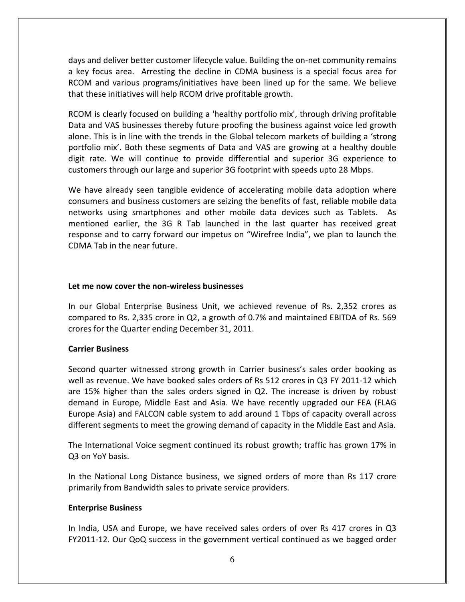days and deliver better customer lifecycle value. Building the on-net community remains a key focus area. Arresting the decline in CDMA business is a special focus area for RCOM and various programs/initiatives have been lined up for the same. We believe that these initiatives will help RCOM drive profitable growth.

RCOM is clearly focused on building a 'healthy portfolio mix', through driving profitable Data and VAS businesses thereby future proofing the business against voice led growth alone. This is in line with the trends in the Global telecom markets of building a 'strong portfolio mix'. Both these segments of Data and VAS are growing at a healthy double digit rate. We will continue to provide differential and superior 3G experience to customers through our large and superior 3G footprint with speeds upto 28 Mbps.

We have already seen tangible evidence of accelerating mobile data adoption where consumers and business customers are seizing the benefits of fast, reliable mobile data networks using smartphones and other mobile data devices such as Tablets. As mentioned earlier, the 3G R Tab launched in the last quarter has received great response and to carry forward our impetus on "Wirefree India", we plan to launch the CDMA Tab in the near future.

# Let me now cover the non-wireless businesses

In our Global Enterprise Business Unit, we achieved revenue of Rs. 2,352 crores as compared to Rs. 2,335 crore in Q2, a growth of 0.7% and maintained EBITDA of Rs. 569 crores for the Quarter ending December 31, 2011.

# Carrier Business

Second quarter witnessed strong growth in Carrier business's sales order booking as well as revenue. We have booked sales orders of Rs 512 crores in Q3 FY 2011-12 which are 15% higher than the sales orders signed in Q2. The increase is driven by robust demand in Europe, Middle East and Asia. We have recently upgraded our FEA (FLAG Europe Asia) and FALCON cable system to add around 1 Tbps of capacity overall across different segments to meet the growing demand of capacity in the Middle East and Asia.

The International Voice segment continued its robust growth; traffic has grown 17% in Q3 on YoY basis.

In the National Long Distance business, we signed orders of more than Rs 117 crore primarily from Bandwidth sales to private service providers.

# Enterprise Business

In India, USA and Europe, we have received sales orders of over Rs 417 crores in Q3 FY2011-12. Our QoQ success in the government vertical continued as we bagged order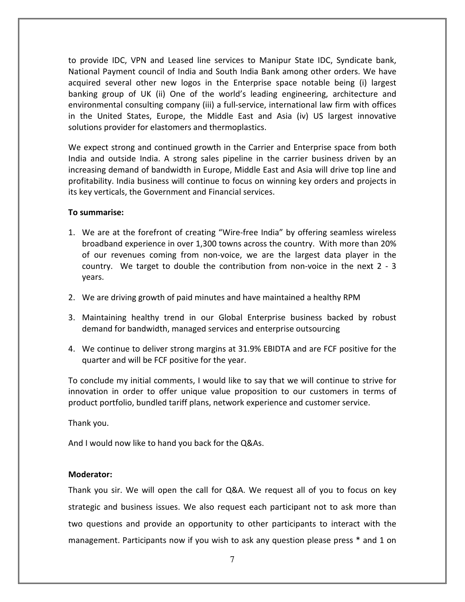to provide IDC, VPN and Leased line services to Manipur State IDC, Syndicate bank, National Payment council of India and South India Bank among other orders. We have acquired several other new logos in the Enterprise space notable being (i) largest banking group of UK (ii) One of the world's leading engineering, architecture and environmental consulting company (iii) a full-service, international law firm with offices in the United States, Europe, the Middle East and Asia (iv) US largest innovative solutions provider for elastomers and thermoplastics.

We expect strong and continued growth in the Carrier and Enterprise space from both India and outside India. A strong sales pipeline in the carrier business driven by an increasing demand of bandwidth in Europe, Middle East and Asia will drive top line and profitability. India business will continue to focus on winning key orders and projects in its key verticals, the Government and Financial services.

# To summarise:

- 1. We are at the forefront of creating "Wire-free India" by offering seamless wireless broadband experience in over 1,300 towns across the country. With more than 20% of our revenues coming from non-voice, we are the largest data player in the country. We target to double the contribution from non-voice in the next 2 - 3 years.
- 2. We are driving growth of paid minutes and have maintained a healthy RPM
- 3. Maintaining healthy trend in our Global Enterprise business backed by robust demand for bandwidth, managed services and enterprise outsourcing
- 4. We continue to deliver strong margins at 31.9% EBIDTA and are FCF positive for the quarter and will be FCF positive for the year.

To conclude my initial comments, I would like to say that we will continue to strive for innovation in order to offer unique value proposition to our customers in terms of product portfolio, bundled tariff plans, network experience and customer service.

Thank you.

And I would now like to hand you back for the Q&As.

# Moderator:

Thank you sir. We will open the call for Q&A. We request all of you to focus on key strategic and business issues. We also request each participant not to ask more than two questions and provide an opportunity to other participants to interact with the management. Participants now if you wish to ask any question please press \* and 1 on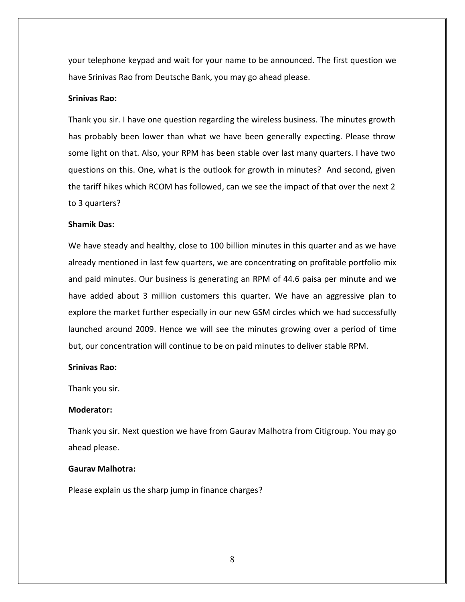your telephone keypad and wait for your name to be announced. The first question we have Srinivas Rao from Deutsche Bank, you may go ahead please.

#### Srinivas Rao:

Thank you sir. I have one question regarding the wireless business. The minutes growth has probably been lower than what we have been generally expecting. Please throw some light on that. Also, your RPM has been stable over last many quarters. I have two questions on this. One, what is the outlook for growth in minutes? And second, given the tariff hikes which RCOM has followed, can we see the impact of that over the next 2 to 3 quarters?

#### Shamik Das:

We have steady and healthy, close to 100 billion minutes in this quarter and as we have already mentioned in last few quarters, we are concentrating on profitable portfolio mix and paid minutes. Our business is generating an RPM of 44.6 paisa per minute and we have added about 3 million customers this quarter. We have an aggressive plan to explore the market further especially in our new GSM circles which we had successfully launched around 2009. Hence we will see the minutes growing over a period of time but, our concentration will continue to be on paid minutes to deliver stable RPM.

#### Srinivas Rao:

Thank you sir.

## Moderator:

Thank you sir. Next question we have from Gaurav Malhotra from Citigroup. You may go ahead please.

# Gaurav Malhotra:

Please explain us the sharp jump in finance charges?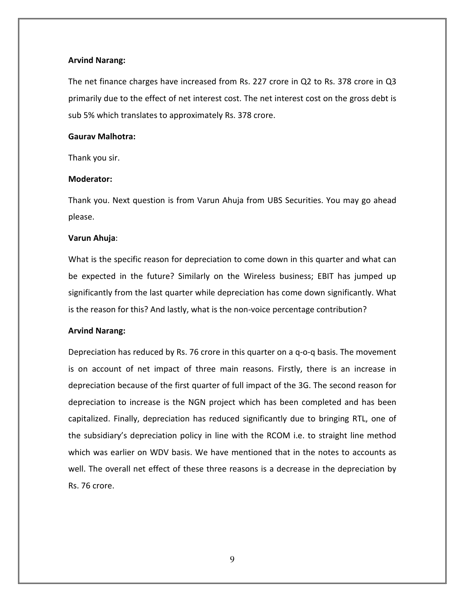# Arvind Narang:

The net finance charges have increased from Rs. 227 crore in Q2 to Rs. 378 crore in Q3 primarily due to the effect of net interest cost. The net interest cost on the gross debt is sub 5% which translates to approximately Rs. 378 crore.

# Gaurav Malhotra:

Thank you sir.

# Moderator:

Thank you. Next question is from Varun Ahuja from UBS Securities. You may go ahead please.

# Varun Ahuja:

What is the specific reason for depreciation to come down in this quarter and what can be expected in the future? Similarly on the Wireless business; EBIT has jumped up significantly from the last quarter while depreciation has come down significantly. What is the reason for this? And lastly, what is the non-voice percentage contribution?

# Arvind Narang:

Depreciation has reduced by Rs. 76 crore in this quarter on a q-o-q basis. The movement is on account of net impact of three main reasons. Firstly, there is an increase in depreciation because of the first quarter of full impact of the 3G. The second reason for depreciation to increase is the NGN project which has been completed and has been capitalized. Finally, depreciation has reduced significantly due to bringing RTL, one of the subsidiary's depreciation policy in line with the RCOM i.e. to straight line method which was earlier on WDV basis. We have mentioned that in the notes to accounts as well. The overall net effect of these three reasons is a decrease in the depreciation by Rs. 76 crore.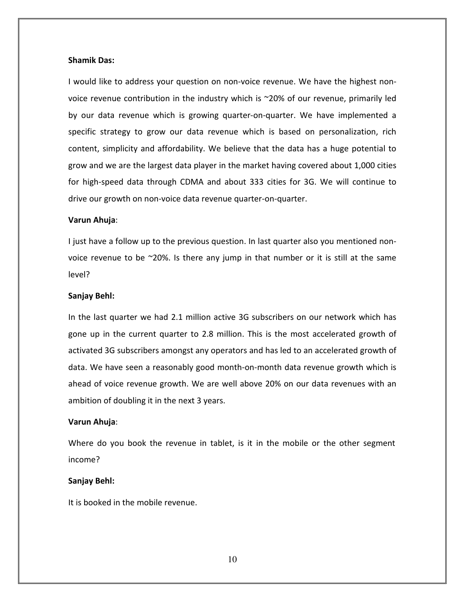#### Shamik Das:

I would like to address your question on non-voice revenue. We have the highest nonvoice revenue contribution in the industry which is ~20% of our revenue, primarily led by our data revenue which is growing quarter-on-quarter. We have implemented a specific strategy to grow our data revenue which is based on personalization, rich content, simplicity and affordability. We believe that the data has a huge potential to grow and we are the largest data player in the market having covered about 1,000 cities for high-speed data through CDMA and about 333 cities for 3G. We will continue to drive our growth on non-voice data revenue quarter-on-quarter.

#### Varun Ahuja:

I just have a follow up to the previous question. In last quarter also you mentioned nonvoice revenue to be  $\sim$ 20%. Is there any jump in that number or it is still at the same level?

#### Sanjay Behl:

In the last quarter we had 2.1 million active 3G subscribers on our network which has gone up in the current quarter to 2.8 million. This is the most accelerated growth of activated 3G subscribers amongst any operators and has led to an accelerated growth of data. We have seen a reasonably good month-on-month data revenue growth which is ahead of voice revenue growth. We are well above 20% on our data revenues with an ambition of doubling it in the next 3 years.

#### Varun Ahuja:

Where do you book the revenue in tablet, is it in the mobile or the other segment income?

#### Sanjay Behl:

It is booked in the mobile revenue.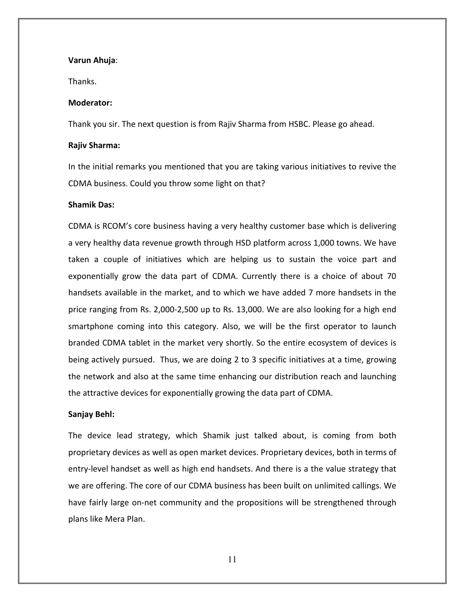## Varun Ahuja:

Thanks.

#### Moderator:

Thank you sir. The next question is from Rajiv Sharma from HSBC. Please go ahead.

#### Rajiv Sharma:

In the initial remarks you mentioned that you are taking various initiatives to revive the CDMA business. Could you throw some light on that?

# Shamik Das:

CDMA is RCOM's core business having a very healthy customer base which is delivering a very healthy data revenue growth through HSD platform across 1,000 towns. We have taken a couple of initiatives which are helping us to sustain the voice part and exponentially grow the data part of CDMA. Currently there is a choice of about 70 handsets available in the market, and to which we have added 7 more handsets in the price ranging from Rs. 2,000-2,500 up to Rs. 13,000. We are also looking for a high end smartphone coming into this category. Also, we will be the first operator to launch branded CDMA tablet in the market very shortly. So the entire ecosystem of devices is being actively pursued. Thus, we are doing 2 to 3 specific initiatives at a time, growing the network and also at the same time enhancing our distribution reach and launching the attractive devices for exponentially growing the data part of CDMA.

#### Sanjay Behl:

The device lead strategy, which Shamik just talked about, is coming from both proprietary devices as well as open market devices. Proprietary devices, both in terms of entry-level handset as well as high end handsets. And there is a the value strategy that we are offering. The core of our CDMA business has been built on unlimited callings. We have fairly large on-net community and the propositions will be strengthened through plans like Mera Plan.

11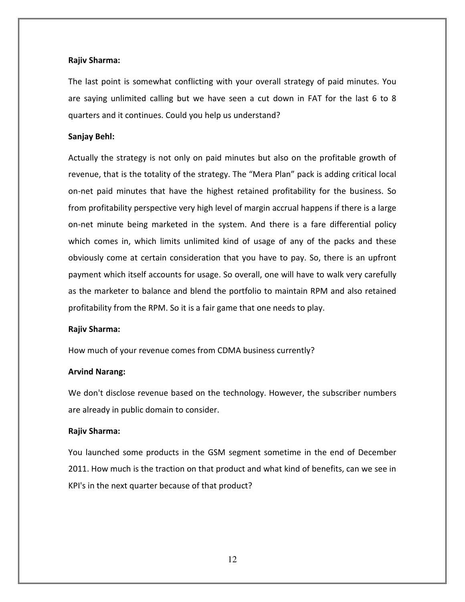## Rajiv Sharma:

The last point is somewhat conflicting with your overall strategy of paid minutes. You are saying unlimited calling but we have seen a cut down in FAT for the last 6 to 8 quarters and it continues. Could you help us understand?

## Sanjay Behl:

Actually the strategy is not only on paid minutes but also on the profitable growth of revenue, that is the totality of the strategy. The "Mera Plan" pack is adding critical local on-net paid minutes that have the highest retained profitability for the business. So from profitability perspective very high level of margin accrual happens if there is a large on-net minute being marketed in the system. And there is a fare differential policy which comes in, which limits unlimited kind of usage of any of the packs and these obviously come at certain consideration that you have to pay. So, there is an upfront payment which itself accounts for usage. So overall, one will have to walk very carefully as the marketer to balance and blend the portfolio to maintain RPM and also retained profitability from the RPM. So it is a fair game that one needs to play.

#### Rajiv Sharma:

How much of your revenue comes from CDMA business currently?

# Arvind Narang:

We don't disclose revenue based on the technology. However, the subscriber numbers are already in public domain to consider.

# Rajiv Sharma:

You launched some products in the GSM segment sometime in the end of December 2011. How much is the traction on that product and what kind of benefits, can we see in KPI's in the next quarter because of that product?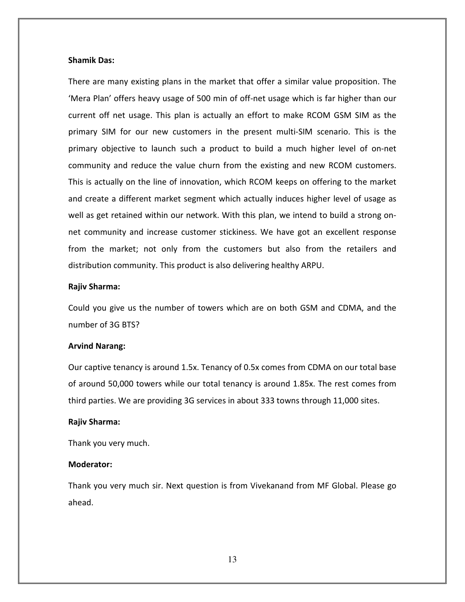## Shamik Das:

There are many existing plans in the market that offer a similar value proposition. The 'Mera Plan' offers heavy usage of 500 min of off-net usage which is far higher than our current off net usage. This plan is actually an effort to make RCOM GSM SIM as the primary SIM for our new customers in the present multi-SIM scenario. This is the primary objective to launch such a product to build a much higher level of on-net community and reduce the value churn from the existing and new RCOM customers. This is actually on the line of innovation, which RCOM keeps on offering to the market and create a different market segment which actually induces higher level of usage as well as get retained within our network. With this plan, we intend to build a strong onnet community and increase customer stickiness. We have got an excellent response from the market; not only from the customers but also from the retailers and distribution community. This product is also delivering healthy ARPU.

#### Rajiv Sharma:

Could you give us the number of towers which are on both GSM and CDMA, and the number of 3G BTS?

#### Arvind Narang:

Our captive tenancy is around 1.5x. Tenancy of 0.5x comes from CDMA on our total base of around 50,000 towers while our total tenancy is around 1.85x. The rest comes from third parties. We are providing 3G services in about 333 towns through 11,000 sites.

#### Rajiv Sharma:

Thank you very much.

## Moderator:

Thank you very much sir. Next question is from Vivekanand from MF Global. Please go ahead.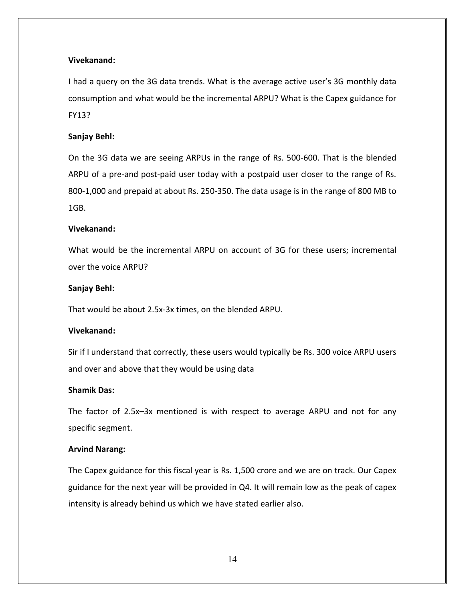# Vivekanand:

I had a query on the 3G data trends. What is the average active user's 3G monthly data consumption and what would be the incremental ARPU? What is the Capex guidance for FY13?

# Sanjay Behl:

On the 3G data we are seeing ARPUs in the range of Rs. 500-600. That is the blended ARPU of a pre-and post-paid user today with a postpaid user closer to the range of Rs. 800-1,000 and prepaid at about Rs. 250-350. The data usage is in the range of 800 MB to 1GB.

# Vivekanand:

What would be the incremental ARPU on account of 3G for these users; incremental over the voice ARPU?

# Sanjay Behl:

That would be about 2.5x-3x times, on the blended ARPU.

# Vivekanand:

Sir if I understand that correctly, these users would typically be Rs. 300 voice ARPU users and over and above that they would be using data

# Shamik Das:

The factor of 2.5x–3x mentioned is with respect to average ARPU and not for any specific segment.

# Arvind Narang:

The Capex guidance for this fiscal year is Rs. 1,500 crore and we are on track. Our Capex guidance for the next year will be provided in Q4. It will remain low as the peak of capex intensity is already behind us which we have stated earlier also.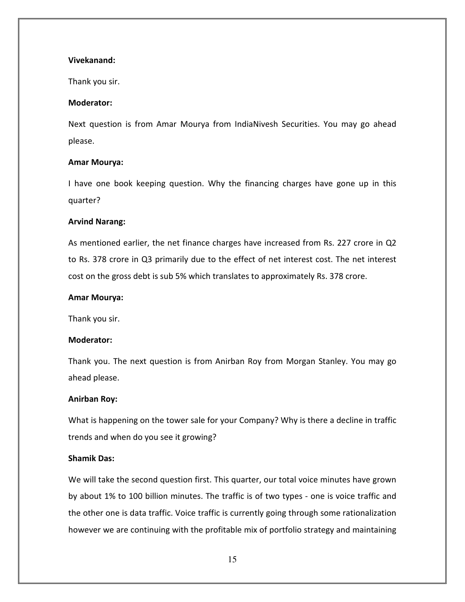## Vivekanand:

Thank you sir.

## Moderator:

Next question is from Amar Mourya from IndiaNivesh Securities. You may go ahead please.

## Amar Mourya:

I have one book keeping question. Why the financing charges have gone up in this quarter?

# Arvind Narang:

As mentioned earlier, the net finance charges have increased from Rs. 227 crore in Q2 to Rs. 378 crore in Q3 primarily due to the effect of net interest cost. The net interest cost on the gross debt is sub 5% which translates to approximately Rs. 378 crore.

## Amar Mourya:

Thank you sir.

## Moderator:

Thank you. The next question is from Anirban Roy from Morgan Stanley. You may go ahead please.

# Anirban Roy:

What is happening on the tower sale for your Company? Why is there a decline in traffic trends and when do you see it growing?

## Shamik Das:

We will take the second question first. This quarter, our total voice minutes have grown by about 1% to 100 billion minutes. The traffic is of two types - one is voice traffic and the other one is data traffic. Voice traffic is currently going through some rationalization however we are continuing with the profitable mix of portfolio strategy and maintaining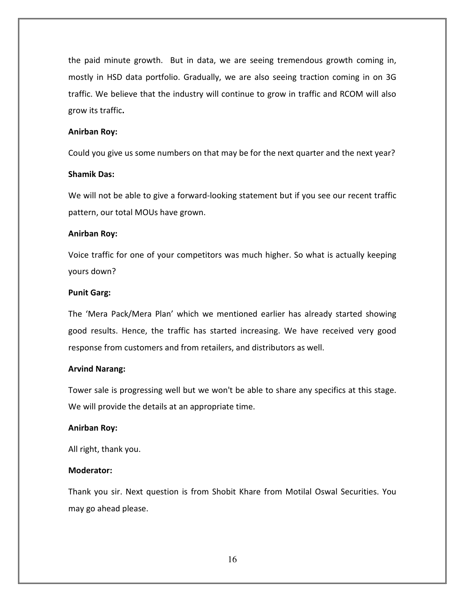the paid minute growth. But in data, we are seeing tremendous growth coming in, mostly in HSD data portfolio. Gradually, we are also seeing traction coming in on 3G traffic. We believe that the industry will continue to grow in traffic and RCOM will also grow its traffic.

# Anirban Roy:

Could you give us some numbers on that may be for the next quarter and the next year?

## Shamik Das:

We will not be able to give a forward-looking statement but if you see our recent traffic pattern, our total MOUs have grown.

# Anirban Roy:

Voice traffic for one of your competitors was much higher. So what is actually keeping yours down?

## Punit Garg:

The 'Mera Pack/Mera Plan' which we mentioned earlier has already started showing good results. Hence, the traffic has started increasing. We have received very good response from customers and from retailers, and distributors as well.

#### Arvind Narang:

Tower sale is progressing well but we won't be able to share any specifics at this stage. We will provide the details at an appropriate time.

#### Anirban Roy:

All right, thank you.

# Moderator:

Thank you sir. Next question is from Shobit Khare from Motilal Oswal Securities. You may go ahead please.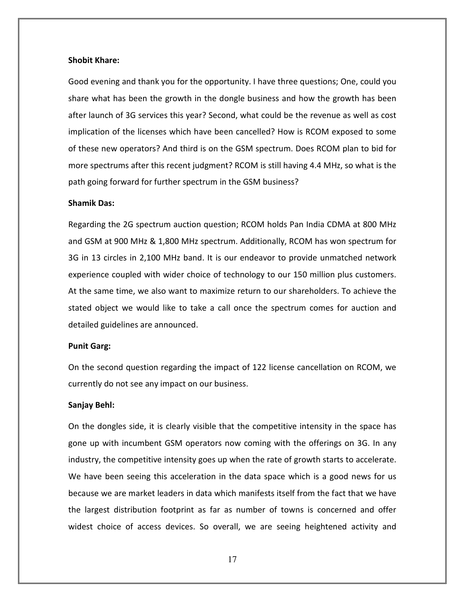#### Shobit Khare:

Good evening and thank you for the opportunity. I have three questions; One, could you share what has been the growth in the dongle business and how the growth has been after launch of 3G services this year? Second, what could be the revenue as well as cost implication of the licenses which have been cancelled? How is RCOM exposed to some of these new operators? And third is on the GSM spectrum. Does RCOM plan to bid for more spectrums after this recent judgment? RCOM is still having 4.4 MHz, so what is the path going forward for further spectrum in the GSM business?

## Shamik Das:

Regarding the 2G spectrum auction question; RCOM holds Pan India CDMA at 800 MHz and GSM at 900 MHz & 1,800 MHz spectrum. Additionally, RCOM has won spectrum for 3G in 13 circles in 2,100 MHz band. It is our endeavor to provide unmatched network experience coupled with wider choice of technology to our 150 million plus customers. At the same time, we also want to maximize return to our shareholders. To achieve the stated object we would like to take a call once the spectrum comes for auction and detailed guidelines are announced.

#### Punit Garg:

On the second question regarding the impact of 122 license cancellation on RCOM, we currently do not see any impact on our business.

#### Sanjay Behl:

On the dongles side, it is clearly visible that the competitive intensity in the space has gone up with incumbent GSM operators now coming with the offerings on 3G. In any industry, the competitive intensity goes up when the rate of growth starts to accelerate. We have been seeing this acceleration in the data space which is a good news for us because we are market leaders in data which manifests itself from the fact that we have the largest distribution footprint as far as number of towns is concerned and offer widest choice of access devices. So overall, we are seeing heightened activity and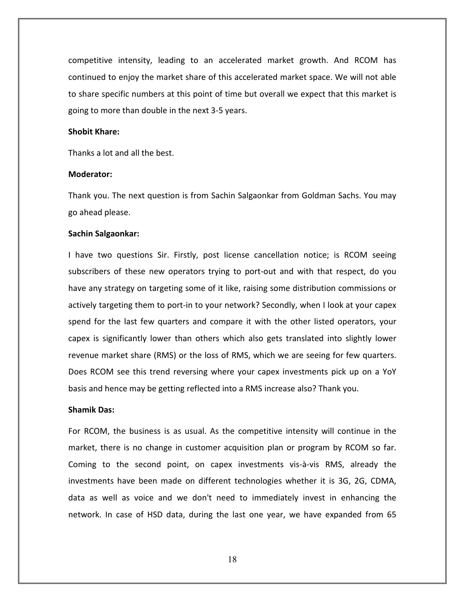competitive intensity, leading to an accelerated market growth. And RCOM has continued to enjoy the market share of this accelerated market space. We will not able to share specific numbers at this point of time but overall we expect that this market is going to more than double in the next 3-5 years.

## Shobit Khare:

Thanks a lot and all the best.

#### Moderator:

Thank you. The next question is from Sachin Salgaonkar from Goldman Sachs. You may go ahead please.

## Sachin Salgaonkar:

I have two questions Sir. Firstly, post license cancellation notice; is RCOM seeing subscribers of these new operators trying to port-out and with that respect, do you have any strategy on targeting some of it like, raising some distribution commissions or actively targeting them to port-in to your network? Secondly, when I look at your capex spend for the last few quarters and compare it with the other listed operators, your capex is significantly lower than others which also gets translated into slightly lower revenue market share (RMS) or the loss of RMS, which we are seeing for few quarters. Does RCOM see this trend reversing where your capex investments pick up on a YoY basis and hence may be getting reflected into a RMS increase also? Thank you.

#### Shamik Das:

For RCOM, the business is as usual. As the competitive intensity will continue in the market, there is no change in customer acquisition plan or program by RCOM so far. Coming to the second point, on capex investments vis-à-vis RMS, already the investments have been made on different technologies whether it is 3G, 2G, CDMA, data as well as voice and we don't need to immediately invest in enhancing the network. In case of HSD data, during the last one year, we have expanded from 65

18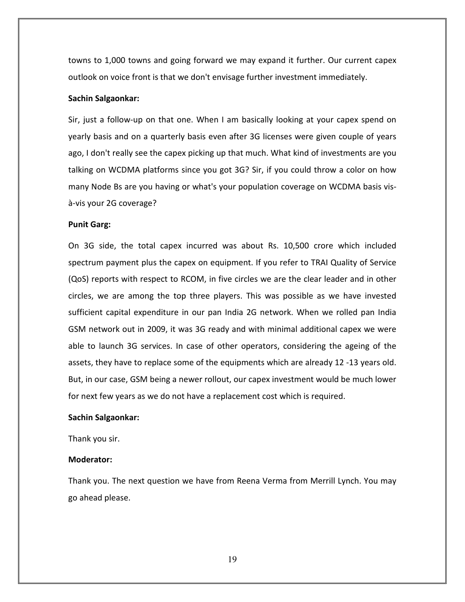towns to 1,000 towns and going forward we may expand it further. Our current capex outlook on voice front is that we don't envisage further investment immediately.

#### Sachin Salgaonkar:

Sir, just a follow-up on that one. When I am basically looking at your capex spend on yearly basis and on a quarterly basis even after 3G licenses were given couple of years ago, I don't really see the capex picking up that much. What kind of investments are you talking on WCDMA platforms since you got 3G? Sir, if you could throw a color on how many Node Bs are you having or what's your population coverage on WCDMA basis visà-vis your 2G coverage?

#### Punit Garg:

On 3G side, the total capex incurred was about Rs. 10,500 crore which included spectrum payment plus the capex on equipment. If you refer to TRAI Quality of Service (QoS) reports with respect to RCOM, in five circles we are the clear leader and in other circles, we are among the top three players. This was possible as we have invested sufficient capital expenditure in our pan India 2G network. When we rolled pan India GSM network out in 2009, it was 3G ready and with minimal additional capex we were able to launch 3G services. In case of other operators, considering the ageing of the assets, they have to replace some of the equipments which are already 12 -13 years old. But, in our case, GSM being a newer rollout, our capex investment would be much lower for next few years as we do not have a replacement cost which is required.

#### Sachin Salgaonkar:

Thank you sir.

## Moderator:

Thank you. The next question we have from Reena Verma from Merrill Lynch. You may go ahead please.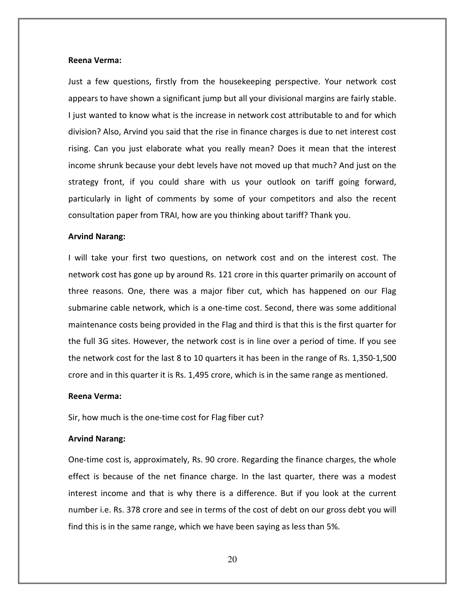#### Reena Verma:

Just a few questions, firstly from the housekeeping perspective. Your network cost appears to have shown a significant jump but all your divisional margins are fairly stable. I just wanted to know what is the increase in network cost attributable to and for which division? Also, Arvind you said that the rise in finance charges is due to net interest cost rising. Can you just elaborate what you really mean? Does it mean that the interest income shrunk because your debt levels have not moved up that much? And just on the strategy front, if you could share with us your outlook on tariff going forward, particularly in light of comments by some of your competitors and also the recent consultation paper from TRAI, how are you thinking about tariff? Thank you.

#### Arvind Narang:

I will take your first two questions, on network cost and on the interest cost. The network cost has gone up by around Rs. 121 crore in this quarter primarily on account of three reasons. One, there was a major fiber cut, which has happened on our Flag submarine cable network, which is a one-time cost. Second, there was some additional maintenance costs being provided in the Flag and third is that this is the first quarter for the full 3G sites. However, the network cost is in line over a period of time. If you see the network cost for the last 8 to 10 quarters it has been in the range of Rs. 1,350-1,500 crore and in this quarter it is Rs. 1,495 crore, which is in the same range as mentioned.

#### Reena Verma:

Sir, how much is the one-time cost for Flag fiber cut?

# Arvind Narang:

One-time cost is, approximately, Rs. 90 crore. Regarding the finance charges, the whole effect is because of the net finance charge. In the last quarter, there was a modest interest income and that is why there is a difference. But if you look at the current number i.e. Rs. 378 crore and see in terms of the cost of debt on our gross debt you will find this is in the same range, which we have been saying as less than 5%.

20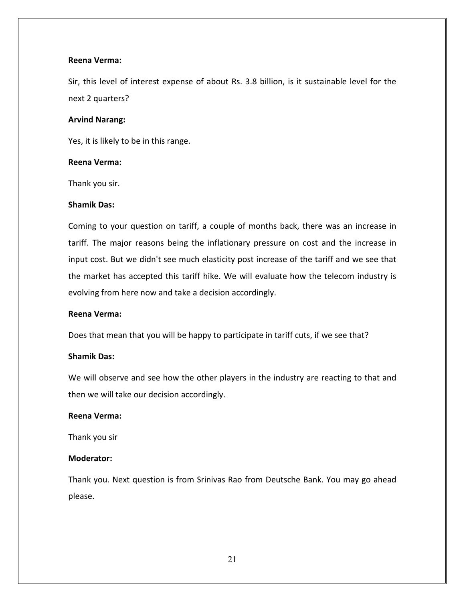## Reena Verma:

Sir, this level of interest expense of about Rs. 3.8 billion, is it sustainable level for the next 2 quarters?

#### Arvind Narang:

Yes, it is likely to be in this range.

## Reena Verma:

Thank you sir.

## Shamik Das:

Coming to your question on tariff, a couple of months back, there was an increase in tariff. The major reasons being the inflationary pressure on cost and the increase in input cost. But we didn't see much elasticity post increase of the tariff and we see that the market has accepted this tariff hike. We will evaluate how the telecom industry is evolving from here now and take a decision accordingly.

# Reena Verma:

Does that mean that you will be happy to participate in tariff cuts, if we see that?

# Shamik Das:

We will observe and see how the other players in the industry are reacting to that and then we will take our decision accordingly.

# Reena Verma:

Thank you sir

# Moderator:

Thank you. Next question is from Srinivas Rao from Deutsche Bank. You may go ahead please.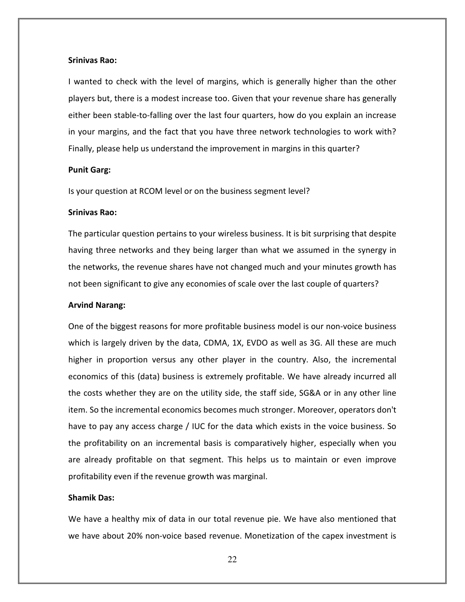#### Srinivas Rao:

I wanted to check with the level of margins, which is generally higher than the other players but, there is a modest increase too. Given that your revenue share has generally either been stable-to-falling over the last four quarters, how do you explain an increase in your margins, and the fact that you have three network technologies to work with? Finally, please help us understand the improvement in margins in this quarter?

#### Punit Garg:

Is your question at RCOM level or on the business segment level?

## Srinivas Rao:

The particular question pertains to your wireless business. It is bit surprising that despite having three networks and they being larger than what we assumed in the synergy in the networks, the revenue shares have not changed much and your minutes growth has not been significant to give any economies of scale over the last couple of quarters?

#### Arvind Narang:

One of the biggest reasons for more profitable business model is our non-voice business which is largely driven by the data, CDMA, 1X, EVDO as well as 3G. All these are much higher in proportion versus any other player in the country. Also, the incremental economics of this (data) business is extremely profitable. We have already incurred all the costs whether they are on the utility side, the staff side, SG&A or in any other line item. So the incremental economics becomes much stronger. Moreover, operators don't have to pay any access charge / IUC for the data which exists in the voice business. So the profitability on an incremental basis is comparatively higher, especially when you are already profitable on that segment. This helps us to maintain or even improve profitability even if the revenue growth was marginal.

#### Shamik Das:

We have a healthy mix of data in our total revenue pie. We have also mentioned that we have about 20% non-voice based revenue. Monetization of the capex investment is